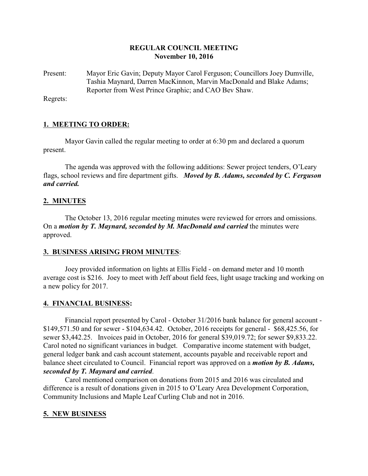### **REGULAR COUNCIL MEETING November 10, 2016**

Present: Mayor Eric Gavin; Deputy Mayor Carol Ferguson; Councillors Joey Dumville, Tashia Maynard, Darren MacKinnon, Marvin MacDonald and Blake Adams; Reporter from West Prince Graphic; and CAO Bev Shaw.

Regrets:

## **1. MEETING TO ORDER:**

Mayor Gavin called the regular meeting to order at 6:30 pm and declared a quorum present.

The agenda was approved with the following additions: Sewer project tenders, O'Leary flags, school reviews and fire department gifts. *Moved by B. Adams, seconded by C. Ferguson and carried.*

## **2. MINUTES**

The October 13, 2016 regular meeting minutes were reviewed for errors and omissions. On a *motion by T. Maynard, seconded by M. MacDonald and carried* the minutes were approved.

#### **3. BUSINESS ARISING FROM MINUTES**:

Joey provided information on lights at Ellis Field - on demand meter and 10 month average cost is \$216. Joey to meet with Jeff about field fees, light usage tracking and working on a new policy for 2017.

## **4. FINANCIAL BUSINESS:**

Financial report presented by Carol - October 31/2016 bank balance for general account - \$149,571.50 and for sewer - \$104,634.42. October, 2016 receipts for general - \$68,425.56, for sewer \$3,442.25. Invoices paid in October, 2016 for general \$39,019.72; for sewer \$9,833.22. Carol noted no significant variances in budget. Comparative income statement with budget, general ledger bank and cash account statement, accounts payable and receivable report and balance sheet circulated to Council. Financial report was approved on a *motion by B. Adams, seconded by T. Maynard and carried*.

Carol mentioned comparison on donations from 2015 and 2016 was circulated and difference is a result of donations given in 2015 to O'Leary Area Development Corporation, Community Inclusions and Maple Leaf Curling Club and not in 2016.

## **5. NEW BUSINESS**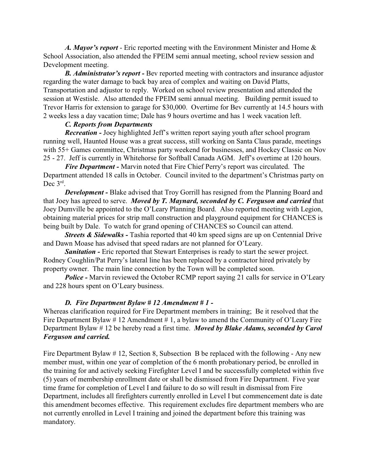*A. Mayor's report* - Eric reported meeting with the Environment Minister and Home & School Association, also attended the FPEIM semi annual meeting, school review session and Development meeting.

*B. Administrator's report -* Bev reported meeting with contractors and insurance adjustor regarding the water damage to back bay area of complex and waiting on David Platts, Transportation and adjustor to reply. Worked on school review presentation and attended the session at Westisle. Also attended the FPEIM semi annual meeting. Building permit issued to Trevor Harris for extension to garage for \$30,000. Overtime for Bev currently at 14.5 hours with 2 weeks less a day vacation time; Dale has 9 hours overtime and has 1 week vacation left.

#### *C. Reports from Departments*

*Recreation -* Joey highlighted Jeff's written report saying youth after school program running well, Haunted House was a great success, still working on Santa Claus parade, meetings with 55+ Games committee, Christmas party weekend for businesses, and Hockey Classic on Nov 25 - 27. Jeff is currently in Whitehorse for Softball Canada AGM. Jeff's overtime at 120 hours.

*Fire Department -* Marvin noted that Fire Chief Perry's report was circulated. The Department attended 18 calls in October. Council invited to the department's Christmas party on Dec 3<sup>rd</sup>.

*Development* - Blake advised that Troy Gorrill has resigned from the Planning Board and that Joey has agreed to serve. *Moved by T. Maynard, seconded by C. Ferguson and carried* that Joey Dumville be appointed to the O'Leary Planning Board. Also reported meeting with Legion, obtaining material prices for strip mall construction and playground equipment for CHANCES is being built by Dale. To watch for grand opening of CHANCES so Council can attend.

*Streets & Sidewalks* - Tashia reported that 40 km speed signs are up on Centennial Drive and Dawn Moase has advised that speed radars are not planned for O'Leary.

**Sanitation -** Eric reported that Stewart Enterprises is ready to start the sewer project. Rodney Coughlin/Pat Perry's lateral line has been replaced by a contractor hired privately by property owner. The main line connection by the Town will be completed soon.

*Police -* Marvin reviewed the October RCMP report saying 21 calls for service in O'Leary and 228 hours spent on O'Leary business.

## *D. Fire Department Bylaw # 12 Amendment # 1 -*

Whereas clarification required for Fire Department members in training; Be it resolved that the Fire Department Bylaw  $\# 12$  Amendment  $\# 1$ , a bylaw to amend the Community of O'Leary Fire Department Bylaw # 12 be hereby read a first time. *Moved by Blake Adams, seconded by Carol Ferguson and carried.* 

Fire Department Bylaw # 12, Section 8, Subsection B be replaced with the following - Any new member must, within one year of completion of the 6 month probationary period, be enrolled in the training for and actively seeking Firefighter Level I and be successfully completed within five (5) years of membership enrollment date or shall be dismissed from Fire Department. Five year time frame for completion of Level I and failure to do so will result in dismissal from Fire Department, includes all firefighters currently enrolled in Level I but commencement date is date this amendment becomes effective. This requirement excludes fire department members who are not currently enrolled in Level I training and joined the department before this training was mandatory.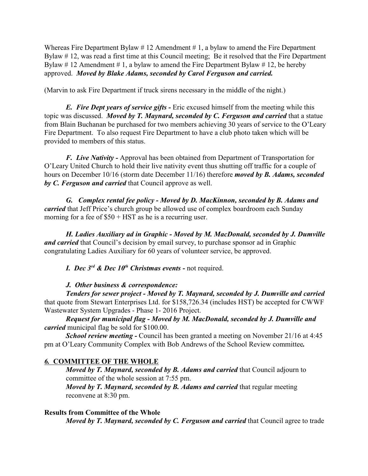Whereas Fire Department Bylaw  $# 12$  Amendment  $# 1$ , a bylaw to amend the Fire Department Bylaw # 12, was read a first time at this Council meeting; Be it resolved that the Fire Department Bylaw #12 Amendment #1, a bylaw to amend the Fire Department Bylaw #12, be hereby approved. *Moved by Blake Adams, seconded by Carol Ferguson and carried.*

(Marvin to ask Fire Department if truck sirens necessary in the middle of the night.)

*E. Fire Dept years of service gifts -* Eric excused himself from the meeting while this topic was discussed. *Moved by T. Maynard, seconded by C. Ferguson and carried* that a statue from Blain Buchanan be purchased for two members achieving 30 years of service to the O'Leary Fire Department. To also request Fire Department to have a club photo taken which will be provided to members of this status.

*F. Live Nativity -* Approval has been obtained from Department of Transportation for O'Leary United Church to hold their live nativity event thus shutting off traffic for a couple of hours on December 10/16 (storm date December 11/16) therefore *moved by B. Adams, seconded by C. Ferguson and carried* that Council approve as well.

*G. Complex rental fee policy - Moved by D. MacKinnon, seconded by B. Adams and carried* that Jeff Price's church group be allowed use of complex boardroom each Sunday morning for a fee of  $$50 + HST$  as he is a recurring user.

*H. Ladies Auxiliary ad in Graphic - Moved by M. MacDonald, seconded by J. Dumville and carried* that Council's decision by email survey, to purchase sponsor ad in Graphic congratulating Ladies Auxiliary for 60 years of volunteer service, be approved.

*I. Dec 3rd & Dec 10th Christmas events -* not required.

## *J. Other business & correspondence:*

*Tenders for sewer project - Moved by T. Maynard, seconded by J. Dumville and carried* that quote from Stewart Enterprises Ltd. for \$158,726.34 (includes HST) be accepted for CWWF Wastewater System Upgrades - Phase 1- 2016 Project.

*Request for municipal flag - Moved by M. MacDonald, seconded by J. Dumville and carried* municipal flag be sold for \$100.00.

*School review meeting -* Council has been granted a meeting on November 21/16 at 4:45 pm at O'Leary Community Complex with Bob Andrews of the School Review committee*.*

# *6.* **COMMITTEE OF THE WHOLE**

*Moved by T. Maynard, seconded by B. Adams and carried* that Council adjourn to committee of the whole session at 7:55 pm.

*Moved by T. Maynard, seconded by B. Adams and carried* that regular meeting reconvene at 8:30 pm.

## **Results from Committee of the Whole**

*Moved by T. Maynard, seconded by C. Ferguson and carried that Council agree to trade*